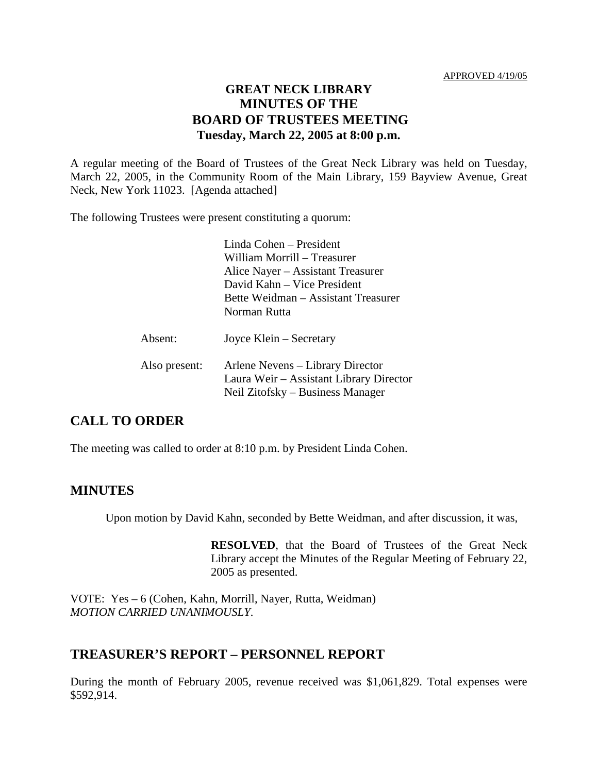### **GREAT NECK LIBRARY MINUTES OF THE BOARD OF TRUSTEES MEETING Tuesday, March 22, 2005 at 8:00 p.m.**

A regular meeting of the Board of Trustees of the Great Neck Library was held on Tuesday, March 22, 2005, in the Community Room of the Main Library, 159 Bayview Avenue, Great Neck, New York 11023. [Agenda attached]

The following Trustees were present constituting a quorum:

Linda Cohen – President William Morrill – Treasurer Alice Nayer – Assistant Treasurer David Kahn – Vice President Bette Weidman – Assistant Treasurer Norman Rutta Absent: Joyce Klein – Secretary

| Also present: | Arlene Nevens – Library Director        |
|---------------|-----------------------------------------|
|               | Laura Weir – Assistant Library Director |
|               | Neil Zitofsky – Business Manager        |

# **CALL TO ORDER**

The meeting was called to order at 8:10 p.m. by President Linda Cohen.

#### **MINUTES**

Upon motion by David Kahn, seconded by Bette Weidman, and after discussion, it was,

**RESOLVED**, that the Board of Trustees of the Great Neck Library accept the Minutes of the Regular Meeting of February 22, 2005 as presented.

VOTE:Yes – 6 (Cohen, Kahn, Morrill, Nayer, Rutta, Weidman) *MOTION CARRIED UNANIMOUSLY.*

### **TREASURER'S REPORT – PERSONNEL REPORT**

During the month of February 2005, revenue received was \$1,061,829. Total expenses were \$592,914.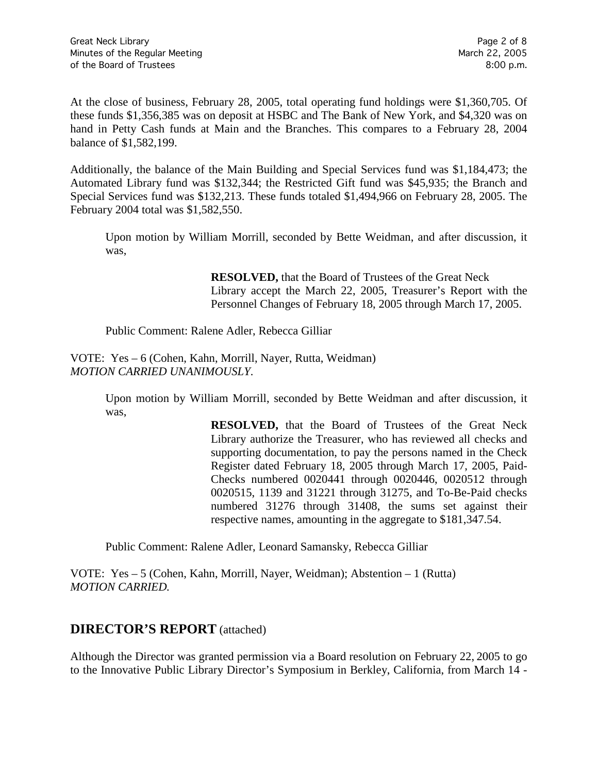At the close of business, February 28, 2005, total operating fund holdings were \$1,360,705. Of these funds \$1,356,385 was on deposit at HSBC and The Bank of New York, and \$4,320 was on hand in Petty Cash funds at Main and the Branches. This compares to a February 28, 2004 balance of \$1,582,199.

Additionally, the balance of the Main Building and Special Services fund was \$1,184,473; the Automated Library fund was \$132,344; the Restricted Gift fund was \$45,935; the Branch and Special Services fund was \$132,213. These funds totaled \$1,494,966 on February 28, 2005. The February 2004 total was \$1,582,550.

Upon motion by William Morrill, seconded by Bette Weidman, and after discussion, it was,

> **RESOLVED,** that the Board of Trustees of the Great Neck Library accept the March 22, 2005, Treasurer's Report with the Personnel Changes of February 18, 2005 through March 17, 2005.

Public Comment: Ralene Adler, Rebecca Gilliar

VOTE:Yes – 6 (Cohen, Kahn, Morrill, Nayer, Rutta, Weidman) *MOTION CARRIED UNANIMOUSLY.*

> Upon motion by William Morrill, seconded by Bette Weidman and after discussion, it was,

> > **RESOLVED,** that the Board of Trustees of the Great Neck Library authorize the Treasurer, who has reviewed all checks and supporting documentation, to pay the persons named in the Check Register dated February 18, 2005 through March 17, 2005, Paid-Checks numbered 0020441 through 0020446, 0020512 through 0020515, 1139 and 31221 through 31275, and To-Be-Paid checks numbered 31276 through 31408, the sums set against their respective names, amounting in the aggregate to \$181,347.54.

Public Comment: Ralene Adler, Leonard Samansky, Rebecca Gilliar

VOTE:Yes – 5 (Cohen, Kahn, Morrill, Nayer, Weidman); Abstention – 1 (Rutta) *MOTION CARRIED.*

# **DIRECTOR'S REPORT** (attached)

Although the Director was granted permission via a Board resolution on February 22, 2005 to go to the Innovative Public Library Director's Symposium in Berkley, California, from March 14 -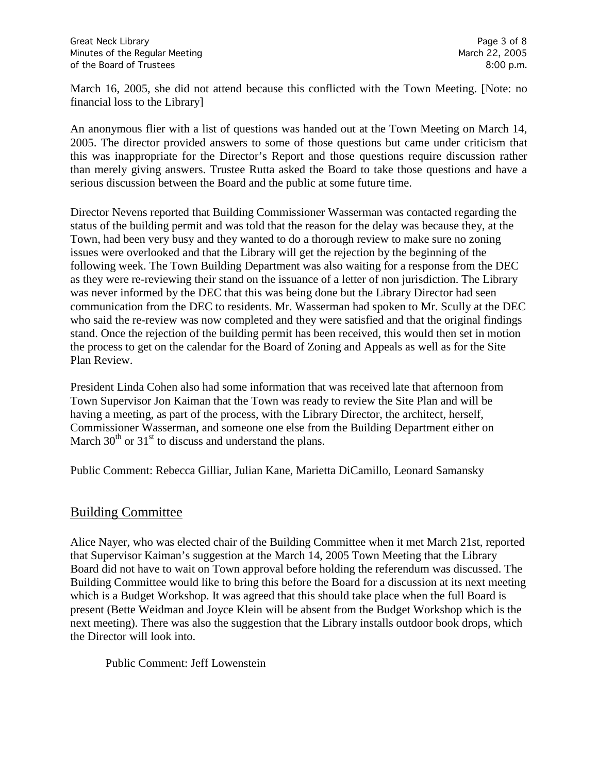March 16, 2005, she did not attend because this conflicted with the Town Meeting. [Note: no financial loss to the Library]

An anonymous flier with a list of questions was handed out at the Town Meeting on March 14, 2005. The director provided answers to some of those questions but came under criticism that this was inappropriate for the Director's Report and those questions require discussion rather than merely giving answers. Trustee Rutta asked the Board to take those questions and have a serious discussion between the Board and the public at some future time.

Director Nevens reported that Building Commissioner Wasserman was contacted regarding the status of the building permit and was told that the reason for the delay was because they, at the Town, had been very busy and they wanted to do a thorough review to make sure no zoning issues were overlooked and that the Library will get the rejection by the beginning of the following week. The Town Building Department was also waiting for a response from the DEC as they were re-reviewing their stand on the issuance of a letter of non jurisdiction. The Library was never informed by the DEC that this was being done but the Library Director had seen communication from the DEC to residents. Mr. Wasserman had spoken to Mr. Scully at the DEC who said the re-review was now completed and they were satisfied and that the original findings stand. Once the rejection of the building permit has been received, this would then set in motion the process to get on the calendar for the Board of Zoning and Appeals as well as for the Site Plan Review.

President Linda Cohen also had some information that was received late that afternoon from Town Supervisor Jon Kaiman that the Town was ready to review the Site Plan and will be having a meeting, as part of the process, with the Library Director, the architect, herself, Commissioner Wasserman, and someone one else from the Building Department either on March  $30<sup>th</sup>$  or  $31<sup>st</sup>$  to discuss and understand the plans.

Public Comment: Rebecca Gilliar, Julian Kane, Marietta DiCamillo, Leonard Samansky

# Building Committee

Alice Nayer, who was elected chair of the Building Committee when it met March 21st, reported that Supervisor Kaiman's suggestion at the March 14, 2005 Town Meeting that the Library Board did not have to wait on Town approval before holding the referendum was discussed. The Building Committee would like to bring this before the Board for a discussion at its next meeting which is a Budget Workshop. It was agreed that this should take place when the full Board is present (Bette Weidman and Joyce Klein will be absent from the Budget Workshop which is the next meeting). There was also the suggestion that the Library installs outdoor book drops, which the Director will look into.

Public Comment: Jeff Lowenstein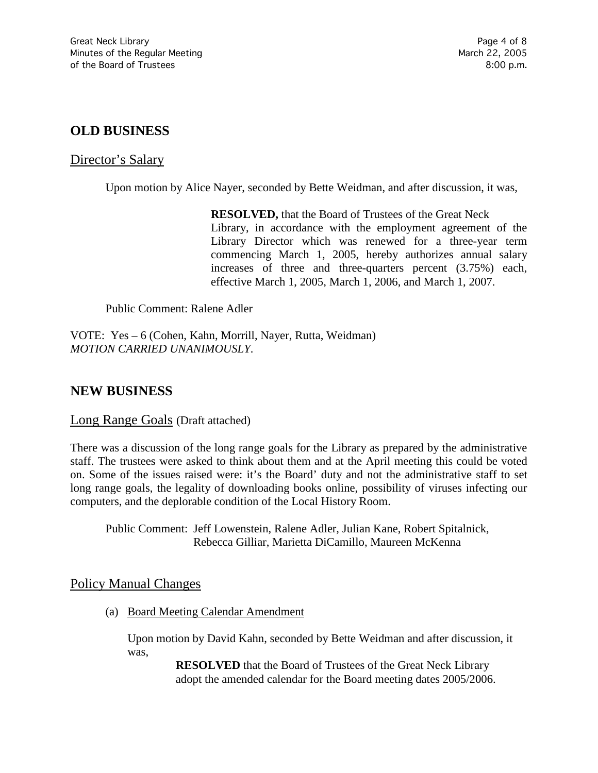# **OLD BUSINESS**

### Director's Salary

Upon motion by Alice Nayer, seconded by Bette Weidman, and after discussion, it was,

**RESOLVED,** that the Board of Trustees of the Great Neck Library, in accordance with the employment agreement of the Library Director which was renewed for a three-year term commencing March 1, 2005, hereby authorizes annual salary increases of three and three-quarters percent (3.75%) each, effective March 1, 2005, March 1, 2006, and March 1, 2007.

Public Comment: Ralene Adler

VOTE:Yes – 6 (Cohen, Kahn, Morrill, Nayer, Rutta, Weidman) *MOTION CARRIED UNANIMOUSLY.*

# **NEW BUSINESS**

#### Long Range Goals (Draft attached)

There was a discussion of the long range goals for the Library as prepared by the administrative staff. The trustees were asked to think about them and at the April meeting this could be voted on. Some of the issues raised were: it's the Board' duty and not the administrative staff to set long range goals, the legality of downloading books online, possibility of viruses infecting our computers, and the deplorable condition of the Local History Room.

Public Comment: Jeff Lowenstein, Ralene Adler, Julian Kane, Robert Spitalnick, Rebecca Gilliar, Marietta DiCamillo, Maureen McKenna

### Policy Manual Changes

(a) Board Meeting Calendar Amendment

Upon motion by David Kahn, seconded by Bette Weidman and after discussion, it was,

> **RESOLVED** that the Board of Trustees of the Great Neck Library adopt the amended calendar for the Board meeting dates 2005/2006.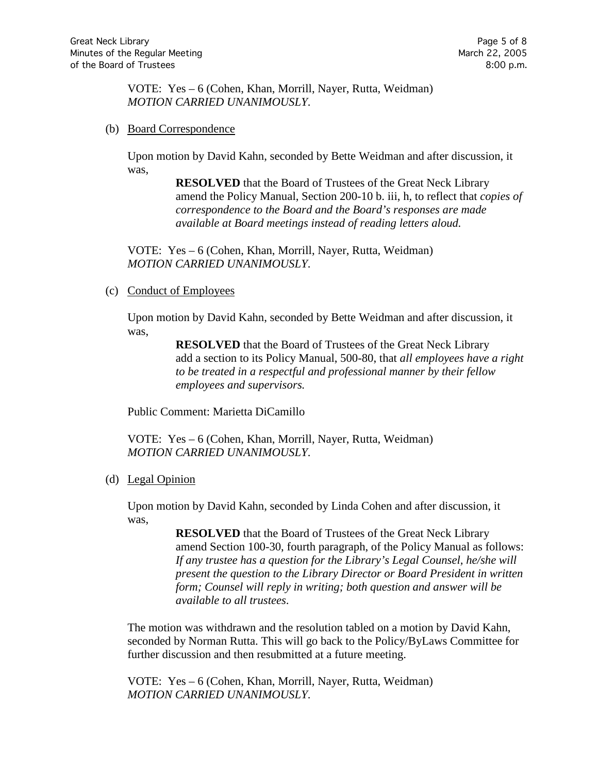VOTE:Yes – 6 (Cohen, Khan, Morrill, Nayer, Rutta, Weidman) *MOTION CARRIED UNANIMOUSLY.*

(b) Board Correspondence

Upon motion by David Kahn, seconded by Bette Weidman and after discussion, it was,

> **RESOLVED** that the Board of Trustees of the Great Neck Library amend the Policy Manual, Section 200-10 b. iii, h, to reflect that *copies of correspondence to the Board and the Board's responses are made available at Board meetings instead of reading letters aloud.*

VOTE:Yes – 6 (Cohen, Khan, Morrill, Nayer, Rutta, Weidman) *MOTION CARRIED UNANIMOUSLY.*

(c) Conduct of Employees

Upon motion by David Kahn, seconded by Bette Weidman and after discussion, it was,

> **RESOLVED** that the Board of Trustees of the Great Neck Library add a section to its Policy Manual, 500-80, that *all employees have a right to be treated in a respectful and professional manner by their fellow employees and supervisors.*

Public Comment: Marietta DiCamillo

VOTE:Yes – 6 (Cohen, Khan, Morrill, Nayer, Rutta, Weidman) *MOTION CARRIED UNANIMOUSLY.*

(d) Legal Opinion

Upon motion by David Kahn, seconded by Linda Cohen and after discussion, it was,

> **RESOLVED** that the Board of Trustees of the Great Neck Library amend Section 100-30, fourth paragraph, of the Policy Manual as follows: *If any trustee has a question for the Library's Legal Counsel, he/she will present the question to the Library Director or Board President in written form; Counsel will reply in writing; both question and answer will be available to all trustees*.

The motion was withdrawn and the resolution tabled on a motion by David Kahn, seconded by Norman Rutta. This will go back to the Policy/ByLaws Committee for further discussion and then resubmitted at a future meeting.

VOTE:Yes – 6 (Cohen, Khan, Morrill, Nayer, Rutta, Weidman) *MOTION CARRIED UNANIMOUSLY.*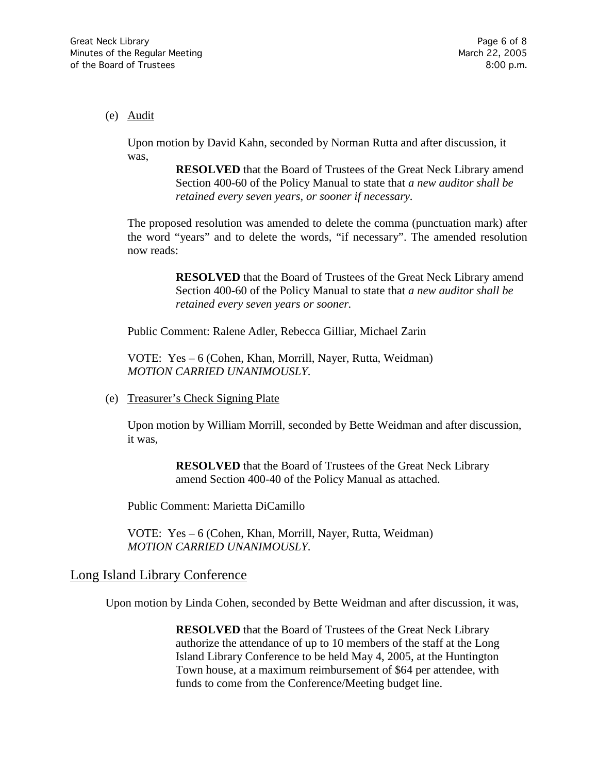#### (e) Audit

Upon motion by David Kahn, seconded by Norman Rutta and after discussion, it was,

> **RESOLVED** that the Board of Trustees of the Great Neck Library amend Section 400-60 of the Policy Manual to state that *a new auditor shall be retained every seven years, or sooner if necessary.*

The proposed resolution was amended to delete the comma (punctuation mark) after the word "years" and to delete the words, "if necessary". The amended resolution now reads:

> **RESOLVED** that the Board of Trustees of the Great Neck Library amend Section 400-60 of the Policy Manual to state that *a new auditor shall be retained every seven years or sooner.*

Public Comment: Ralene Adler, Rebecca Gilliar, Michael Zarin

VOTE:Yes – 6 (Cohen, Khan, Morrill, Nayer, Rutta, Weidman) *MOTION CARRIED UNANIMOUSLY.*

(e) Treasurer's Check Signing Plate

Upon motion by William Morrill, seconded by Bette Weidman and after discussion, it was,

> **RESOLVED** that the Board of Trustees of the Great Neck Library amend Section 400-40 of the Policy Manual as attached.

Public Comment: Marietta DiCamillo

VOTE:Yes – 6 (Cohen, Khan, Morrill, Nayer, Rutta, Weidman) *MOTION CARRIED UNANIMOUSLY.*

### Long Island Library Conference

Upon motion by Linda Cohen, seconded by Bette Weidman and after discussion, it was,

**RESOLVED** that the Board of Trustees of the Great Neck Library authorize the attendance of up to 10 members of the staff at the Long Island Library Conference to be held May 4, 2005, at the Huntington Town house, at a maximum reimbursement of \$64 per attendee, with funds to come from the Conference/Meeting budget line.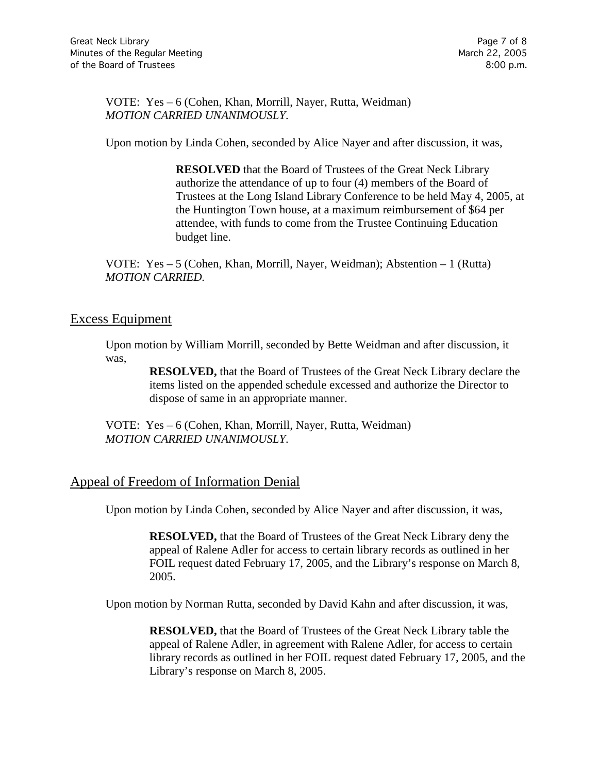VOTE:Yes – 6 (Cohen, Khan, Morrill, Nayer, Rutta, Weidman) *MOTION CARRIED UNANIMOUSLY.*

Upon motion by Linda Cohen, seconded by Alice Nayer and after discussion, it was,

**RESOLVED** that the Board of Trustees of the Great Neck Library authorize the attendance of up to four (4) members of the Board of Trustees at the Long Island Library Conference to be held May 4, 2005, at the Huntington Town house, at a maximum reimbursement of \$64 per attendee, with funds to come from the Trustee Continuing Education budget line.

VOTE:Yes – 5 (Cohen, Khan, Morrill, Nayer, Weidman); Abstention – 1 (Rutta) *MOTION CARRIED.*

### Excess Equipment

Upon motion by William Morrill, seconded by Bette Weidman and after discussion, it was,

> **RESOLVED,** that the Board of Trustees of the Great Neck Library declare the items listed on the appended schedule excessed and authorize the Director to dispose of same in an appropriate manner.

VOTE:Yes – 6 (Cohen, Khan, Morrill, Nayer, Rutta, Weidman) *MOTION CARRIED UNANIMOUSLY.*

# Appeal of Freedom of Information Denial

Upon motion by Linda Cohen, seconded by Alice Nayer and after discussion, it was,

**RESOLVED,** that the Board of Trustees of the Great Neck Library deny the appeal of Ralene Adler for access to certain library records as outlined in her FOIL request dated February 17, 2005, and the Library's response on March 8, 2005.

Upon motion by Norman Rutta, seconded by David Kahn and after discussion, it was,

**RESOLVED,** that the Board of Trustees of the Great Neck Library table the appeal of Ralene Adler, in agreement with Ralene Adler, for access to certain library records as outlined in her FOIL request dated February 17, 2005, and the Library's response on March 8, 2005.